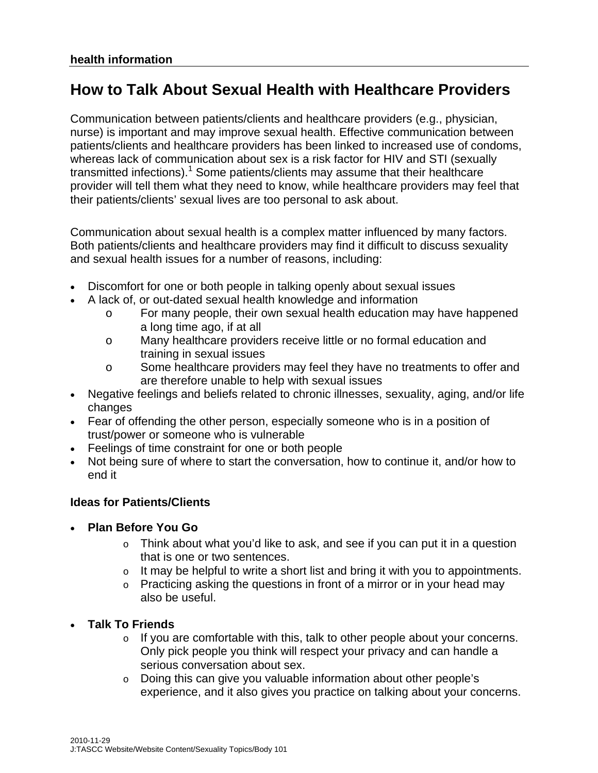# **How to Talk About Sexual Health with Healthcare Providers**

Communication between patients/clients and healthcare providers (e.g., physician, nurse) is important and may improve sexual health. Effective communication between patients/clients and healthcare providers has been linked to increased use of condoms, whereas lack of communication about sex is a risk factor for HIV and STI (sexually transmitted infections).<sup>1</sup> Some patients/clients may assume that their healthcare provider will tell them what they need to know, while healthcare providers may feel that their patients/clients' sexual lives are too personal to ask about.

Communication about sexual health is a complex matter influenced by many factors. Both patients/clients and healthcare providers may find it difficult to discuss sexuality and sexual health issues for a number of reasons, including:

- Discomfort for one or both people in talking openly about sexual issues
- A lack of, or out-dated sexual health knowledge and information
	- o For many people, their own sexual health education may have happened a long time ago, if at all
	- o Many healthcare providers receive little or no formal education and training in sexual issues
	- o Some healthcare providers may feel they have no treatments to offer and are therefore unable to help with sexual issues
- Negative feelings and beliefs related to chronic illnesses, sexuality, aging, and/or life changes
- Fear of offending the other person, especially someone who is in a position of trust/power or someone who is vulnerable
- Feelings of time constraint for one or both people
- Not being sure of where to start the conversation, how to continue it, and/or how to end it

# **Ideas for Patients/Clients**

- **Plan Before You Go** 
	- $\circ$  Think about what you'd like to ask, and see if you can put it in a question that is one or two sentences.
	- $\circ$  It may be helpful to write a short list and bring it with you to appointments.
	- o Practicing asking the questions in front of a mirror or in your head may also be useful.
- **Talk To Friends** 
	- $\circ$  If you are comfortable with this, talk to other people about your concerns. Only pick people you think will respect your privacy and can handle a serious conversation about sex.
	- o Doing this can give you valuable information about other people's experience, and it also gives you practice on talking about your concerns.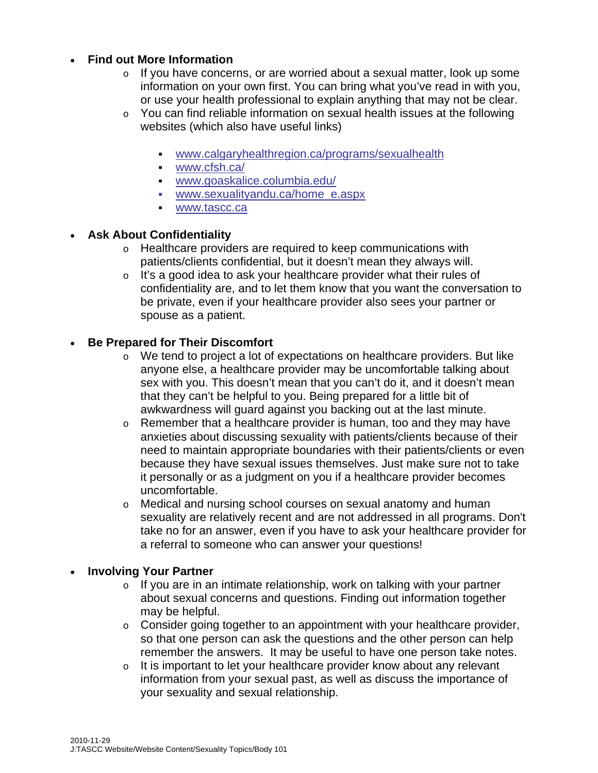## • **Find out More Information**

- $\circ$  If you have concerns, or are worried about a sexual matter, look up some information on your own first. You can bring what you've read in with you, or use your health professional to explain anything that may not be clear.
- o You can find reliable information on sexual health issues at the following websites (which also have useful links)
	- [www.calgaryhealthregion.ca/programs/sexualhealth](http://www.calgaryhealthregion.ca/programs/sexualhealth)
	- [www.cfsh.ca/](http://www.cfsh.ca/)
	- [www.goaskalice.columbia.edu/](http://www.goaskalice.columbia.edu/)
	- [www.sexualityandu.ca/home\\_e.aspx](http://www.sexualityandu.ca/home_e.aspx)
	- [www.tascc.ca](http://www.tascc.ca/)

## • **Ask About Confidentiality**

- o Healthcare providers are required to keep communications with patients/clients confidential, but it doesn't mean they always will.
- o It's a good idea to ask your healthcare provider what their rules of confidentiality are, and to let them know that you want the conversation to be private, even if your healthcare provider also sees your partner or spouse as a patient.

## • **Be Prepared for Their Discomfort**

- o We tend to project a lot of expectations on healthcare providers. But like anyone else, a healthcare provider may be uncomfortable talking about sex with you. This doesn't mean that you can't do it, and it doesn't mean that they can't be helpful to you. Being prepared for a little bit of awkwardness will guard against you backing out at the last minute.
- $\circ$  Remember that a healthcare provider is human, too and they may have anxieties about discussing sexuality with patients/clients because of their need to maintain appropriate boundaries with their patients/clients or even because they have sexual issues themselves. Just make sure not to take it personally or as a judgment on you if a healthcare provider becomes uncomfortable.
- $\circ$  Medical and nursing school courses on sexual anatomy and human sexuality are relatively recent and are not addressed in all programs. Don't take no for an answer, even if you have to ask your healthcare provider for a referral to someone who can answer your questions!

#### • **Involving Your Partner**

- $\circ$  If you are in an intimate relationship, work on talking with your partner about sexual concerns and questions. Finding out information together may be helpful.
- o Consider going together to an appointment with your healthcare provider, so that one person can ask the questions and the other person can help remember the answers. It may be useful to have one person take notes.
- $\circ$  It is important to let your healthcare provider know about any relevant information from your sexual past, as well as discuss the importance of your sexuality and sexual relationship.